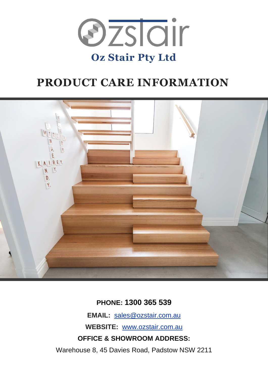

# **PRODUCT CARE INFORMATION**



**PHONE: 1300 365 539**

**EMAIL:** [sales@ozstair.com.au](mailto:sales@ozstair.com.au)

**WEBSITE:** [www.ozstair.com.au](http://www.ozstair.com.au/)

**OFFICE & SHOWROOM ADDRESS:**

Warehouse 8, 45 Davies Road, Padstow NSW 2211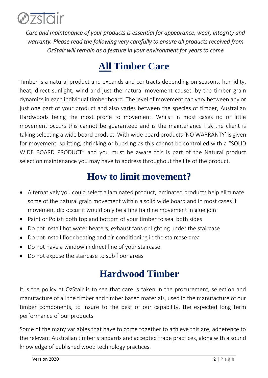

*Care and maintenance of your products is essential for appearance, wear, integrity and warranty. Please read the following very carefully to ensure all products received from OzStair will remain as a feature in your environment for years to come* 

## **All Timber Care**

Timber is a natural product and expands and contracts depending on seasons, humidity, heat, direct sunlight, wind and just the natural movement caused by the timber grain dynamics in each individual timber board. The level of movement can vary between any or just one part of your product and also varies between the species of timber, Australian Hardwoods being the most prone to movement. Whilst in most cases no or little movement occurs this cannot be guaranteed and is the maintenance risk the client is taking selecting a wide board product. With wide board products 'NO WARRANTY' is given for movement, splitting, shrinking or buckling as this cannot be controlled with a "SOLID WIDE BOARD PRODUCT" and you must be aware this is part of the Natural product selection maintenance you may have to address throughout the life of the product.

### **How to limit movement?**

- Alternatively you could select a laminated product, laminated products help eliminate some of the natural grain movement within a solid wide board and in most cases if movement did occur it would only be a fine hairline movement in glue joint
- Paint or Polish both top and bottom of your timber to seal both sides
- Do not install hot water heaters, exhaust fans or lighting under the staircase
- Do not install floor heating and air-conditioning in the staircase area
- Do not have a window in direct line of your staircase
- Do not expose the staircase to sub floor areas

## **Hardwood Timber**

It is the policy at OzStair is to see that care is taken in the procurement, selection and manufacture of all the timber and timber based materials, used in the manufacture of our timber components, to insure to the best of our capability, the expected long term performance of our products.

Some of the many variables that have to come together to achieve this are, adherence to the relevant Australian timber standards and accepted trade practices, along with a sound knowledge of published wood technology practices.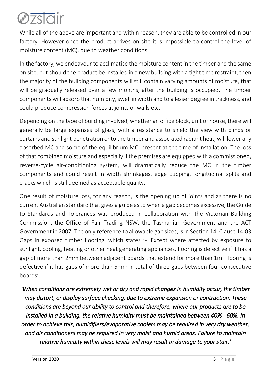

While all of the above are important and within reason, they are able to be controlled in our factory. However once the product arrives on site it is impossible to control the level of moisture content (MC), due to weather conditions.

In the factory, we endeavour to acclimatise the moisture content in the timber and the same on site, but should the product be installed in a new building with a tight time restraint, then the majority of the building components will still contain varying amounts of moisture, that will be gradually released over a few months, after the building is occupied. The timber components will absorb that humidity, swell in width and to a lesser degree in thickness, and could produce compression forces at joints or walls etc.

Depending on the type of building involved, whether an office block, unit or house, there will generally be large expanses of glass, with a resistance to shield the view with blinds or curtains and sunlight penetration onto the timber and associated radiant heat, will lower any absorbed MC and some of the equilibrium MC, present at the time of installation. The loss of that combined moisture and especially if the premises are equipped with a commissioned, reverse-cycle air-conditioning system, will dramatically reduce the MC in the timber components and could result in width shrinkages, edge cupping, longitudinal splits and cracks which is still deemed as acceptable quality.

One result of moisture loss, for any reason, is the opening up of joints and as there is no current Australian standard that gives a guide as to when a gap becomes excessive, the Guide to Standards and Tolerances was produced in collaboration with the Victorian Building Commission, the Office of Fair Trading NSW, the Tasmanian Government and the ACT Government in 2007. The only reference to allowable gap sizes, is in Section 14, Clause 14.03 Gaps in exposed timber flooring, which states :- 'Except where affected by exposure to sunlight, cooling, heating or other heat generating appliances, flooring is defective if it has a gap of more than 2mm between adjacent boards that extend for more than 1m. Flooring is defective if it has gaps of more than 5mm in total of three gaps between four consecutive boards'.

*'When conditions are extremely wet or dry and rapid changes in humidity occur, the timber may distort, or display surface checking, due to extreme expansion or contraction. These conditions are beyond our ability to control and therefore, where our products are to be installed in a building, the relative humidity must be maintained between 40% - 60%. In order to achieve this, humidifiers/evaporative coolers may be required in very dry weather, and air conditioners may be required in very moist and humid areas. Failure to maintain relative humidity within these levels will may result in damage to your stair.'*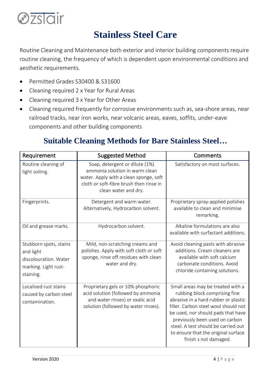

## **Stainless Steel Care**

Routine Cleaning and Maintenance both exterior and interior building components require routine cleaning, the frequency of which is dependent upon environmental conditions and aesthetic requirements.

- Permitted Grades S30400 & S31600
- Cleaning required 2 x Year for Rural Areas
- Cleaning required 3 x Year for Other Areas
- Cleaning required frequently for corrosive environments such as, sea-shore areas, near railroad tracks, near iron works, near volcanic areas, eaves, soffits, under-eave components and other building components

### **Suitable Cleaning Methods for Bare Stainless Steel…**

| Requirement                                                                                       | <b>Suggested Method</b>                                                                                                                                                       | Comments                                                                                                                                                                                                                                                                                                                          |
|---------------------------------------------------------------------------------------------------|-------------------------------------------------------------------------------------------------------------------------------------------------------------------------------|-----------------------------------------------------------------------------------------------------------------------------------------------------------------------------------------------------------------------------------------------------------------------------------------------------------------------------------|
| Routine cleaning of<br>light soiling.                                                             | Soap, detergent or dilute (1%)<br>ammonia solution in warm clean<br>water. Apply with a clean sponge, soft<br>cloth or soft-fibre brush then rinse in<br>clean water and dry. | Satisfactory on most surfaces.                                                                                                                                                                                                                                                                                                    |
| Fingerprints.                                                                                     | Detergent and warm water.<br>Alternatively, Hydrocarbon solvent.                                                                                                              | Proprietary spray-applied polishes<br>available to clean and minimise<br>remarking.                                                                                                                                                                                                                                               |
| Oil and grease marks.                                                                             | Hydrocarbon solvent.                                                                                                                                                          | Alkaline formulations are also<br>available with surfactant additions.                                                                                                                                                                                                                                                            |
| Stubborn spots, stains<br>and light<br>discolouration. Water<br>marking. Light rust-<br>staining. | Mild, non-scratching creams and<br>polishes. Apply with soft cloth or soft<br>sponge, rinse off residues with clean<br>water and dry.                                         | Avoid cleaning pasts with abrasive<br>additions. Cream cleaners are<br>available with soft calcium<br>carbonate conditions. Avoid<br>chloride containing solutions.                                                                                                                                                               |
| Localised rust stains<br>caused by carbon steel<br>contamination.                                 | Proprietary gels or 10% phosphoric<br>acid solution (followed by ammonia<br>and water rinses) or oxalic acid<br>solution (followed by water rinses).                          | Small areas may be treated with a<br>rubbing block comprising fine<br>abrasive in a hard rubber or plastic<br>filler. Carbon steel wool should not<br>be used, nor should pads that have<br>previously been used on carbon<br>steel. A test should be carried out<br>to ensure that the original surface<br>finish s not damaged. |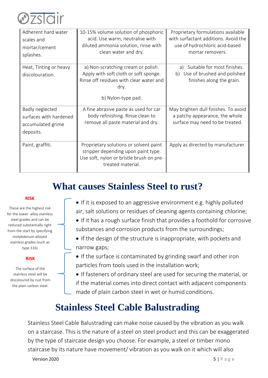

| Adherent hard water<br>scales and<br>mortar/cement<br>splashes.             | 10-15% volume solution of phosphoric<br>acid. Use warm, neutralise with<br>diluted ammonia solution, rinse with<br>clean water and dry.              | Proprietary formulations available<br>with surfactant additions. Avoid the<br>use of hydrochloric acid-based<br>mortar removers. |
|-----------------------------------------------------------------------------|------------------------------------------------------------------------------------------------------------------------------------------------------|----------------------------------------------------------------------------------------------------------------------------------|
| Heat, Tinting or heavy<br>discolouration.                                   | a) Non-scratching cream or polish.<br>Apply with soft cloth or soft sponge.<br>Rinse off residues with clear water and<br>dry.<br>b) Nylon-type pad. | Suitable for most finishes.<br>a)<br>b) Use of brushed and polished<br>finishes along the grain.                                 |
| Badly neglected<br>surfaces with hardened<br>accumulated grime<br>deposits. | A fine abrasive paste as used for car<br>body refinishing. Rinse clean to<br>remove all paste material and dry.                                      | May brighten dull finishes. To avoid<br>a patchy appearance, the whole<br>surface may need to be treated.                        |
| Paint, graffiti.                                                            | Proprietary solutions or solvent paint<br>stripper depending upon paint type.<br>Use soft, nylon or bristle brush on pre-<br>treated material.       | Apply as directed by manufacturer.                                                                                               |

## **What causes Stainless Steel to rust?**

#### **RISK**

These are the highest risk for the lower -alloy stainless steel grades and can be reduced substantially right from the start by specifying molybdenum alloyed stainless grades (such as type 316)

#### **RISK**

The surface of the stainless steel will be discoloured by rust from the plain carbon steel.

- If it is exposed to an aggressive environment e.g. highly polluted air, salt solutions or residues of cleaning agents containing chlorine;
- If it has a rough surface finish that provides a foothold for corrosive substances and corrosion products from the surroundings;
- If the design of the structure is inappropriate, with pockets and narrow gaps;
- If the surface is contaminated by grinding swarf and other iron particles from tools used in the installation work;
- If fasteners of ordinary steel are used for securing the material, or if the material comes into direct contact with adjacent components made of plain carbon steel in wet or humid conditions.

## **Stainless Steel Cable Balustrading**

Stainless Steel Cable Balustrading can make noise caused by the vibration as you walk on a staircase. This is the nature of a steel on steel product and this can be exaggerated by the type of staircase design you choose. For example, a steel or timber mono staircase by its nature have movement/ vibration as you walk on it which will also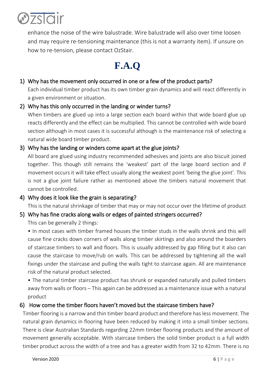

enhance the noise of the wire balustrade. Wire balustrade will also over time loosen and may require re-tensioning maintenance (this is not a warranty item). If unsure on how to re-tension, please contact OzStair.

# **F.A.Q**

### 1) Why has the movement only occurred in one or a few of the product parts?

Each individual timber product has its own timber grain dynamics and will react differently in a given environment or situation.

### 2) Why has this only occurred in the landing or winder turns?

When timbers are glued up into a large section each board within that wide board glue up reacts differently and the effect can be multiplied. This cannot be controlled with wide board section although in most cases it is successful although is the maintenance risk of selecting a natural wide board timber product.

### 3) Why has the landing or winders come apart at the glue joints?

All board are glued using industry recommended adhesives and joints are also biscuit joined together. This though still remains the 'weakest' part of the large board section and if movement occurs it will take effect usually along the weakest point 'being the glue joint'. This is not a glue joint failure rather as mentioned above the timbers natural movement that cannot be controlled.

#### 4) Why does it look like the grain is separating?

This is the natural shrinkage of timber that may or may not occur over the lifetime of product

#### 5) Why has fine cracks along walls or edges of painted stringers occurred?

This can be generally 2 things:

• In most cases with timber framed houses the timber studs in the walls shrink and this will cause fine cracks down corners of walls along timber skirtings and also around the boarders of staircase timbers to wall and floors. This is usually addressed by gap filling but it also can cause the staircase to move/rub on walls. This can be addressed by tightening all the wall fixings under the staircase and pulling the walls tight to staircase again. All are maintenance risk of the natural product selected.

• The natural timber staircase product has shrunk or expanded naturally and pulled timbers away from walls or floors – This again can be addressed as a maintenance issue with a natural product

### 6) How come the timber floors haven't moved but the staircase timbers have?

Timber flooring is a narrow and thin timber board product and therefore has less movement. The natural grain dynamics in flooring have been reduced by making it into a small timber sections. There is clear Australian Standards regarding 22mm timber flooring products and the amount of movement generally acceptable. With staircase timbers the solid timber product is a full width timber product across the width of a tree and has a greater width from 32 to 42mm. There is no